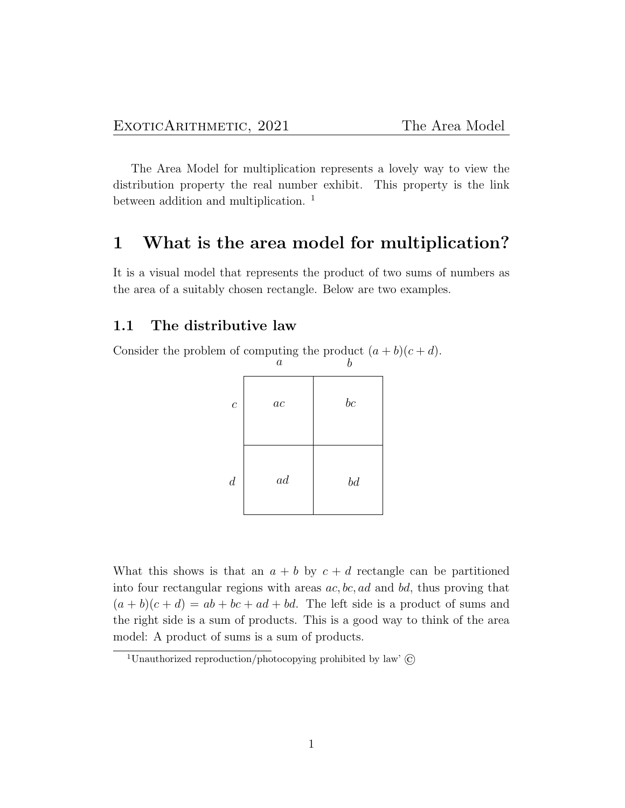The Area Model for multiplication represents a lovely way to view the distribution property the real number exhibit. This property is the link between addition and multiplication.<sup>1</sup>

## 1 What is the area model for multiplication?

It is a visual model that represents the product of two sums of numbers as the area of a suitably chosen rectangle. Below are two examples.

### 1.1 The distributive law

Consider the problem of computing the product  $(a + b)(c + d)$ .  $a \begin{array}{ccc} a & b \end{array}$ 

| $\overline{c}$   | $\mathfrak{a}\mathfrak{c}$ | bc |
|------------------|----------------------------|----|
| $\boldsymbol{d}$ | ad                         | bd |

What this shows is that an  $a + b$  by  $c + d$  rectangle can be partitioned into four rectangular regions with areas  $ac, bc, ad$  and  $bd$ , thus proving that  $(a + b)(c + d) = ab + bc + ad + bd$ . The left side is a product of sums and the right side is a sum of products. This is a good way to think of the area model: A product of sums is a sum of products.

<sup>&</sup>lt;sup>1</sup>Unauthorized reproduction/photocopying prohibited by law'  $\odot$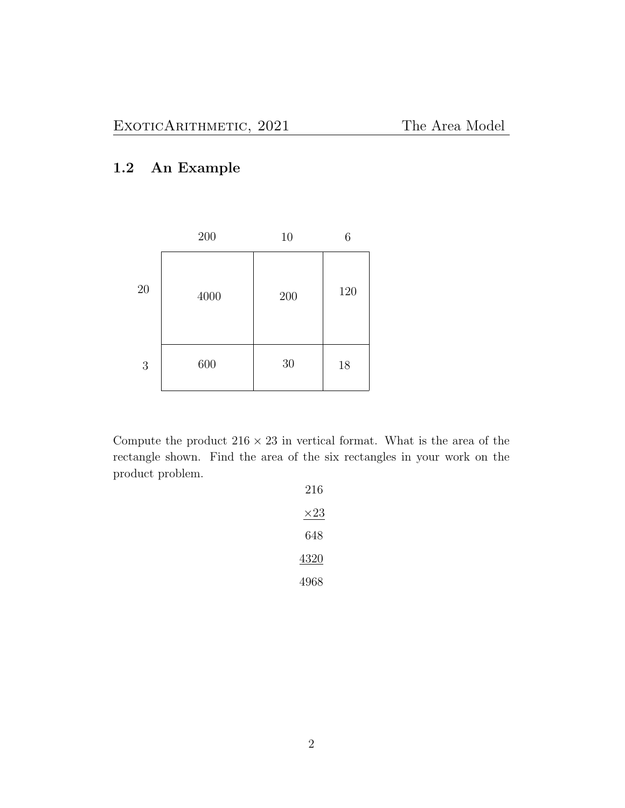# 1.2 An Example

|    | 200  | 10  | 6   |
|----|------|-----|-----|
| 20 | 4000 | 200 | 120 |
| 3  | 600  | 30  | 18  |

Compute the product  $216 \times 23$  in vertical format. What is the area of the rectangle shown. Find the area of the six rectangles in your work on the product problem.

| 216         |
|-------------|
| $\times 23$ |
| 648         |
| 4320        |
| 4968        |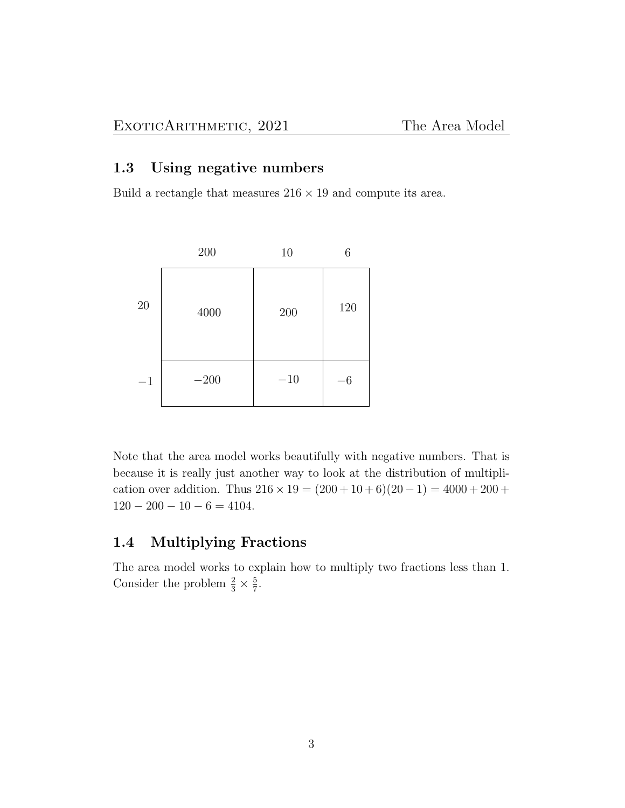### 1.3 Using negative numbers

Build a rectangle that measures  $216 \times 19$  and compute its area.



Note that the area model works beautifully with negative numbers. That is because it is really just another way to look at the distribution of multiplication over addition. Thus  $216 \times 19 = (200 + 10 + 6)(20 - 1) = 4000 + 200 +$  $120 - 200 - 10 - 6 = 4104.$ 

### 1.4 Multiplying Fractions

The area model works to explain how to multiply two fractions less than 1. Consider the problem  $\frac{2}{3} \times \frac{5}{7}$  $\frac{5}{7}$ .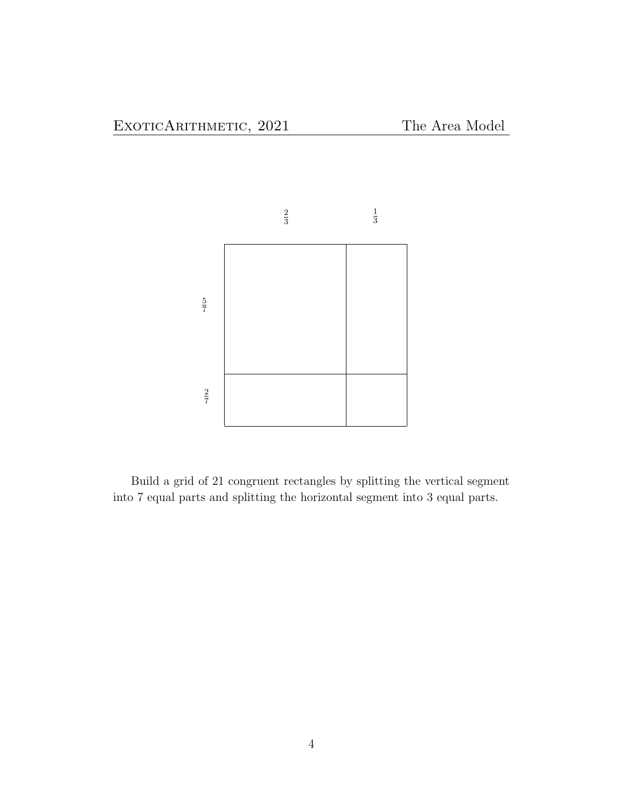

Build a grid of 21 congruent rectangles by splitting the vertical segment into 7 equal parts and splitting the horizontal segment into 3 equal parts.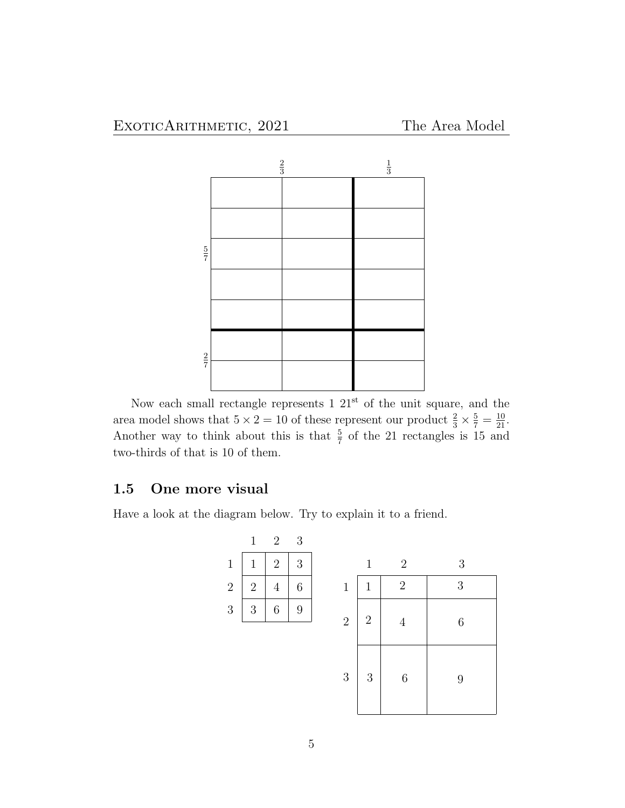

Now each small rectangle represents  $1 \ 21<sup>st</sup>$  of the unit square, and the area model shows that  $5 \times 2 = 10$  of these represent our product  $\frac{2}{3} \times \frac{5}{7} = \frac{10}{21}$ . Another way to think about this is that  $\frac{5}{7}$  of the 21 rectangles is 15 and two-thirds of that is 10 of them.

### 1.5 One more visual

Have a look at the diagram below. Try to explain it to a friend.

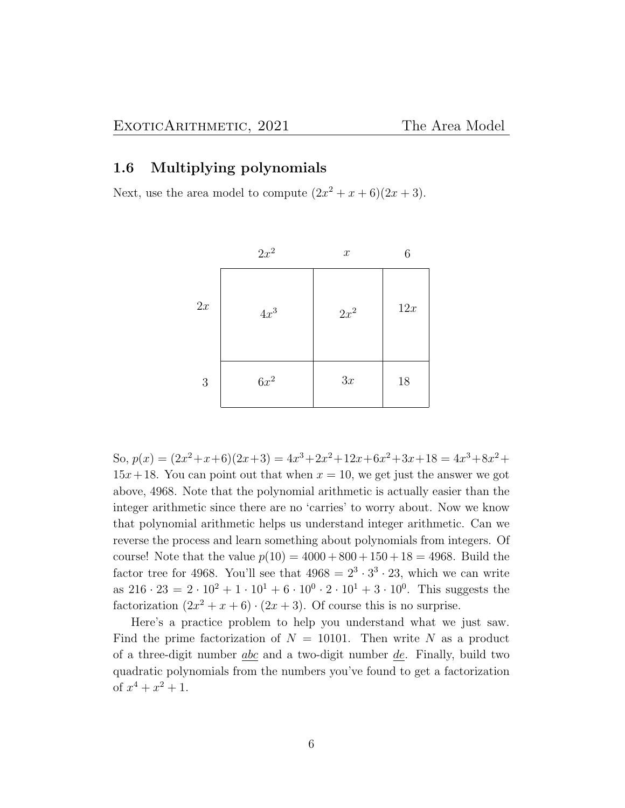### 1.6 Multiplying polynomials

Next, use the area model to compute  $(2x^2 + x + 6)(2x + 3)$ .

|    | $2x^2$ | $\boldsymbol{x}$ | 6   |
|----|--------|------------------|-----|
| 2x | $4x^3$ | $2x^2$           | 12x |
| 3  | $6x^2$ | 3x               | 18  |

So,  $p(x) = (2x^2 + x + 6)(2x + 3) = 4x^3 + 2x^2 + 12x + 6x^2 + 3x + 18 = 4x^3 + 8x^2 +$  $15x+18$ . You can point out that when  $x = 10$ , we get just the answer we got above, 4968. Note that the polynomial arithmetic is actually easier than the integer arithmetic since there are no 'carries' to worry about. Now we know that polynomial arithmetic helps us understand integer arithmetic. Can we reverse the process and learn something about polynomials from integers. Of course! Note that the value  $p(10) = 4000 + 800 + 150 + 18 = 4968$ . Build the factor tree for 4968. You'll see that  $4968 = 2^3 \cdot 3^3 \cdot 23$ , which we can write as  $216 \cdot 23 = 2 \cdot 10^2 + 1 \cdot 10^1 + 6 \cdot 10^0 \cdot 2 \cdot 10^1 + 3 \cdot 10^0$ . This suggests the factorization  $(2x^2 + x + 6) \cdot (2x + 3)$ . Of course this is no surprise.

Here's a practice problem to help you understand what we just saw. Find the prime factorization of  $N = 10101$ . Then write N as a product of a three-digit number  $abc$  and a two-digit number  $de$ . Finally, build two quadratic polynomials from the numbers you've found to get a factorization of  $x^4 + x^2 + 1$ .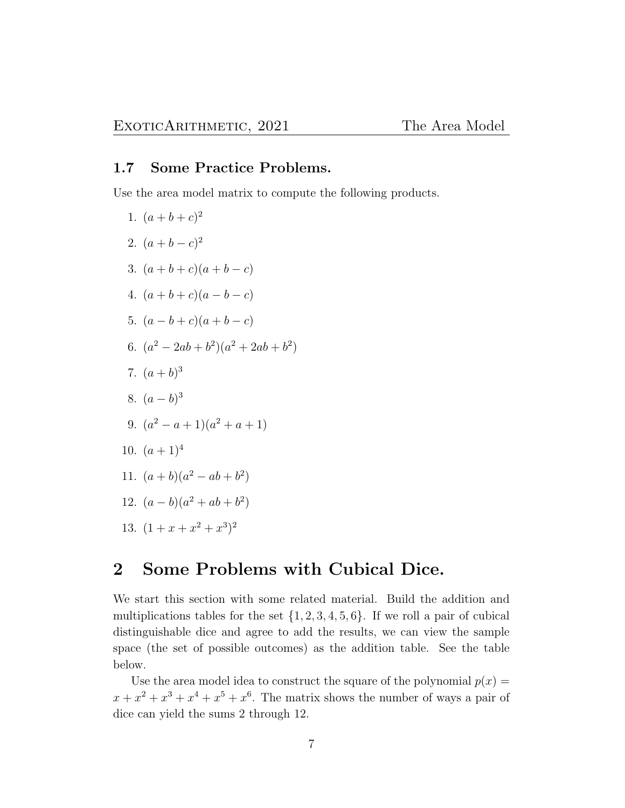### 1.7 Some Practice Problems.

Use the area model matrix to compute the following products.

1.  $(a+b+c)^2$ 2.  $(a+b-c)^2$ 3.  $(a + b + c)(a + b - c)$ 4.  $(a + b + c)(a - b - c)$ 5.  $(a - b + c)(a + b - c)$ 6.  $(a^2-2ab+b^2)(a^2+2ab+b^2)$ 7.  $(a+b)^3$ 8.  $(a - b)^3$ 9.  $(a^2 - a + 1)(a^2 + a + 1)$ 10.  $(a+1)^4$ 11.  $(a+b)(a^2 - ab + b^2)$ 12.  $(a - b)(a^2 + ab + b^2)$ 13.  $(1+x+x^2+x^3)^2$ 

# 2 Some Problems with Cubical Dice.

We start this section with some related material. Build the addition and multiplications tables for the set  $\{1, 2, 3, 4, 5, 6\}$ . If we roll a pair of cubical distinguishable dice and agree to add the results, we can view the sample space (the set of possible outcomes) as the addition table. See the table below.

Use the area model idea to construct the square of the polynomial  $p(x) =$  $x + x<sup>2</sup> + x<sup>3</sup> + x<sup>4</sup> + x<sup>5</sup> + x<sup>6</sup>$ . The matrix shows the number of ways a pair of dice can yield the sums 2 through 12.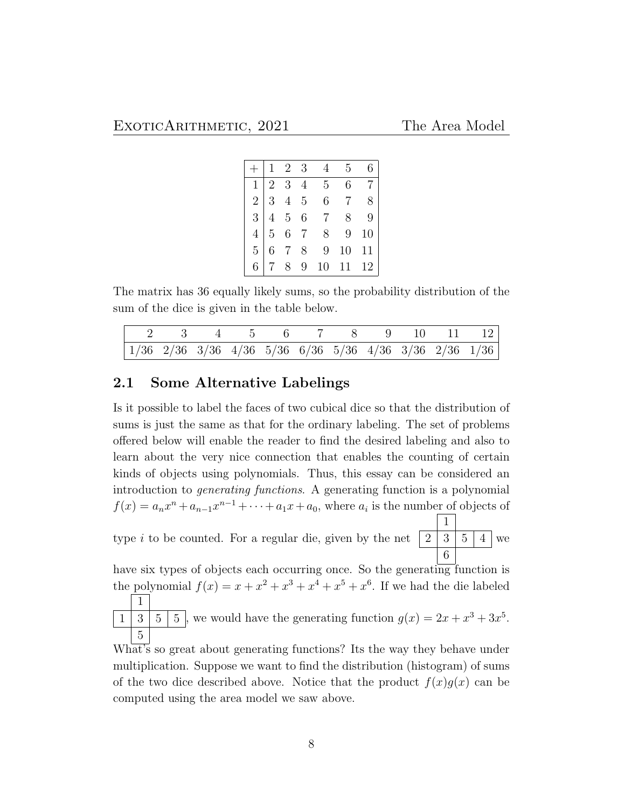|  | $\begin{array}{ccc} \n\begin{array}{ccc} 1 & 2 & 3 \n\end{array} \n\end{array}$ |                                                                                                                                                                                 | 5 <sup>5</sup> |  |
|--|---------------------------------------------------------------------------------|---------------------------------------------------------------------------------------------------------------------------------------------------------------------------------|----------------|--|
|  |                                                                                 |                                                                                                                                                                                 |                |  |
|  |                                                                                 |                                                                                                                                                                                 |                |  |
|  |                                                                                 |                                                                                                                                                                                 |                |  |
|  |                                                                                 |                                                                                                                                                                                 |                |  |
|  |                                                                                 |                                                                                                                                                                                 |                |  |
|  |                                                                                 | $\begin{array}{r rrrrrr} 1&2&3&4&5&6&7\ \hline 2&3&4&5&6&7&8\ \hline 3&4&5&6&7&8&9\ \hline 4&5&6&7&8&9&10\ \hline 5&6&7&8&9&10&11\ \hline 6&7&8&9&10&11&12\ \hline \end{array}$ |                |  |

The matrix has 36 equally likely sums, so the probability distribution of the sum of the dice is given in the table below.

|  | $\begin{array}{cccccccc} \n & 2 & 3 & 4 & 5 & 6 & 7 & 8 & 9 & 10 & 11 & 12 \n\end{array}$                         |  |  |  |  |
|--|-------------------------------------------------------------------------------------------------------------------|--|--|--|--|
|  | $\begin{array}{ccccccccc} 1/36 & 2/36 & 3/36 & 4/36 & 5/36 & 6/36 & 5/36 & 4/36 & 3/36 & 2/36 & 1/36 \end{array}$ |  |  |  |  |

### 2.1 Some Alternative Labelings

Is it possible to label the faces of two cubical dice so that the distribution of sums is just the same as that for the ordinary labeling. The set of problems offered below will enable the reader to find the desired labeling and also to learn about the very nice connection that enables the counting of certain kinds of objects using polynomials. Thus, this essay can be considered an introduction to generating functions. A generating function is a polynomial  $f(x) = a_n x^n + a_{n-1} x^{n-1} + \cdots + a_1 x + a_0$ , where  $a_i$  is the number of objects of

type  $i$  to be counted. For a regular die, given by the net 1  $2 | 3 | 5 | 4$ 6 we

have six types of objects each occurring once. So the generating function is the polynomial  $f(x) = x + x^2 + x^3 + x^4 + x^5 + x^6$ . If we had the die labeled 1

 $1 \mid 3 \mid 5 \mid 5$ , we would have the generating function  $g(x) = 2x + x^3 + 3x^5$ . 5

What's so great about generating functions? Its the way they behave under multiplication. Suppose we want to find the distribution (histogram) of sums of the two dice described above. Notice that the product  $f(x)g(x)$  can be computed using the area model we saw above.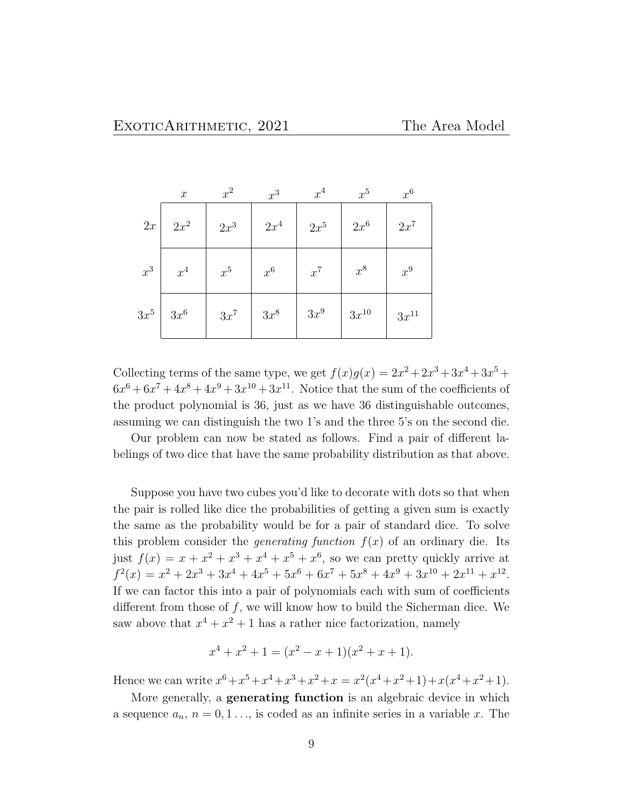|        | $\boldsymbol{x}$ | $x^2$  | $x^3$  | $x^4$  | $x^5$     | $x^6$     |
|--------|------------------|--------|--------|--------|-----------|-----------|
| 2x     | $2x^2$           | $2x^3$ | $2x^4$ | $2x^5$ | $2x^6$    | $2x^7$    |
| $x^3$  | $x^4$            | $x^5$  | $x^6$  | $x^7$  | $x^8$     | $x^9$     |
| $3x^5$ | $3x^6$           | $3x^7$ | $3x^8$ | $3x^9$ | $3x^{10}$ | $3x^{11}$ |

Collecting terms of the same type, we get  $f(x)g(x) = 2x^2 + 2x^3 + 3x^4 + 3x^5 +$  $6x^6 + 6x^7 + 4x^8 + 4x^9 + 3x^{10} + 3x^{11}$ . Notice that the sum of the coefficients of the product polynomial is 36, just as we have 36 distinguishable outcomes, assuming we can distinguish the two 1's and the three 5's on the second die.

Our problem can now be stated as follows. Find a pair of different labelings of two dice that have the same probability distribution as that above.

Suppose you have two cubes you'd like to decorate with dots so that when the pair is rolled like dice the probabilities of getting a given sum is exactly the same as the probability would be for a pair of standard dice. To solve this problem consider the *generating function*  $f(x)$  of an ordinary die. Its just  $f(x) = x + x^2 + x^3 + x^4 + x^5 + x^6$ , so we can pretty quickly arrive at  $f^{2}(x) = x^{2} + 2x^{3} + 3x^{4} + 4x^{5} + 5x^{6} + 6x^{7} + 5x^{8} + 4x^{9} + 3x^{10} + 2x^{11} + x^{12}$ If we can factor this into a pair of polynomials each with sum of coefficients different from those of  $f$ , we will know how to build the Sicherman dice. We saw above that  $x^4 + x^2 + 1$  has a rather nice factorization, namely

$$
x^{4} + x^{2} + 1 = (x^{2} - x + 1)(x^{2} + x + 1).
$$

Hence we can write  $x^6 + x^5 + x^4 + x^3 + x^2 + x = x^2(x^4 + x^2 + 1) + x(x^4 + x^2 + 1)$ .

More generally, a **generating function** is an algebraic device in which a sequence  $a_n$ ,  $n = 0, 1, \ldots$ , is coded as an infinite series in a variable x. The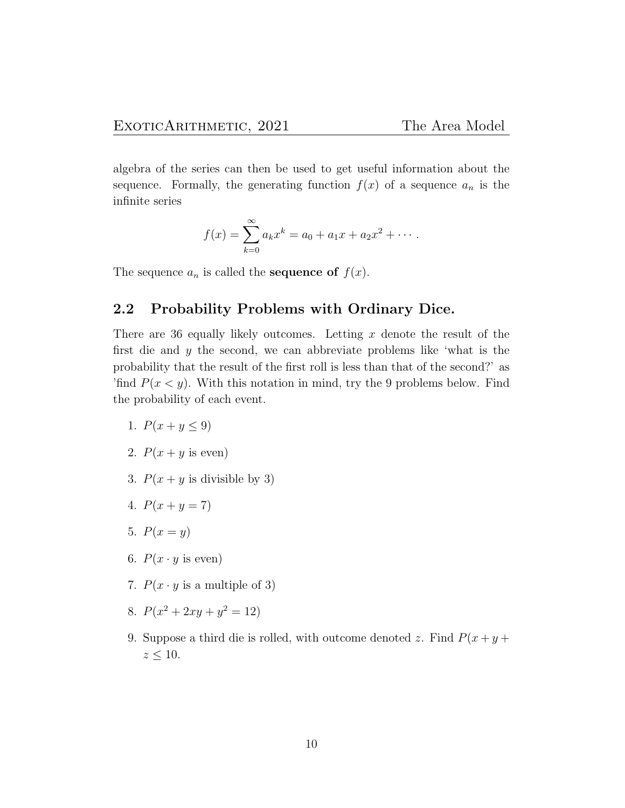algebra of the series can then be used to get useful information about the sequence. Formally, the generating function  $f(x)$  of a sequence  $a_n$  is the infinite series

$$
f(x) = \sum_{k=0}^{\infty} a_k x^k = a_0 + a_1 x + a_2 x^2 + \cdots
$$

The sequence  $a_n$  is called the **sequence of**  $f(x)$ .

### 2.2 Probability Problems with Ordinary Dice.

There are 36 equally likely outcomes. Letting  $x$  denote the result of the first die and y the second, we can abbreviate problems like 'what is the probability that the result of the first roll is less than that of the second?' as 'find  $P(x \le y)$ . With this notation in mind, try the 9 problems below. Find the probability of each event.

- 1.  $P(x + y \le 9)$
- 2.  $P(x + y \text{ is even})$
- 3.  $P(x + y)$  is divisible by 3)
- 4.  $P(x + y = 7)$
- 5.  $P(x = y)$
- 6.  $P(x \cdot y \text{ is even})$
- 7.  $P(x \cdot y)$  is a multiple of 3)
- 8.  $P(x^2 + 2xy + y^2 = 12)$
- 9. Suppose a third die is rolled, with outcome denoted z. Find  $P(x + y + z)$  $z\leq 10.$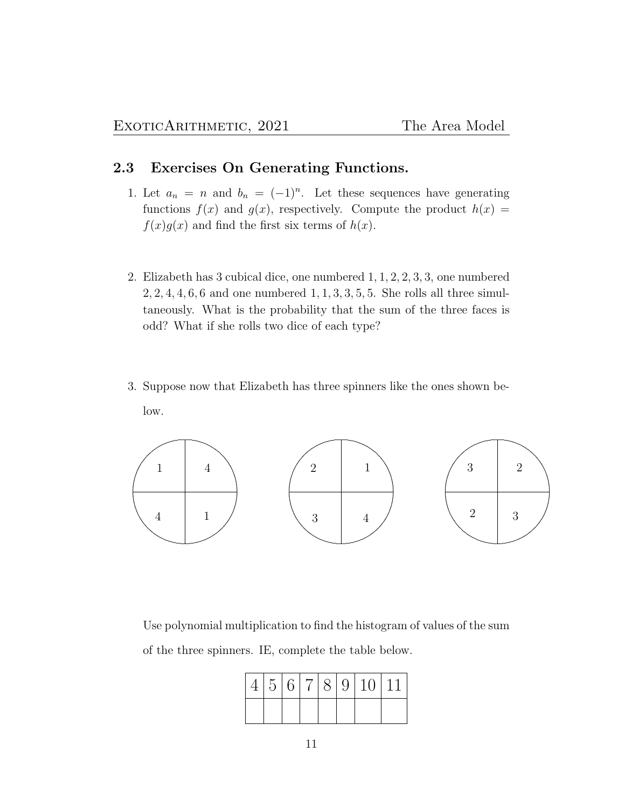### 2.3 Exercises On Generating Functions.

- 1. Let  $a_n = n$  and  $b_n = (-1)^n$ . Let these sequences have generating functions  $f(x)$  and  $g(x)$ , respectively. Compute the product  $h(x) =$  $f(x)g(x)$  and find the first six terms of  $h(x)$ .
- 2. Elizabeth has 3 cubical dice, one numbered 1, 1, 2, 2, 3, 3, one numbered  $2, 2, 4, 4, 6, 6$  and one numbered  $1, 1, 3, 3, 5, 5$ . She rolls all three simultaneously. What is the probability that the sum of the three faces is odd? What if she rolls two dice of each type?
- 3. Suppose now that Elizabeth has three spinners like the ones shown below.



Use polynomial multiplication to find the histogram of values of the sum of the three spinners. IE, complete the table below.

|  |  |  | 4 5 6 7 8 9 10 11 |
|--|--|--|-------------------|
|  |  |  |                   |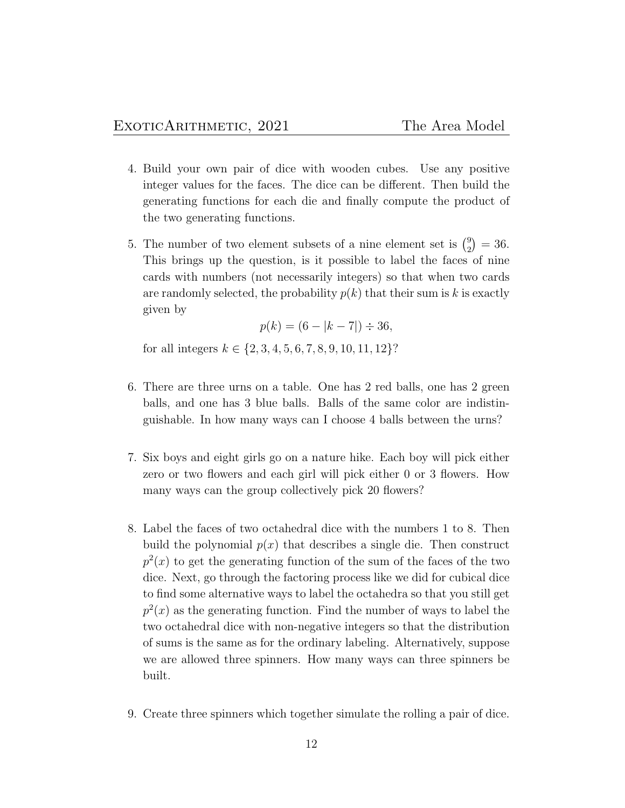- 4. Build your own pair of dice with wooden cubes. Use any positive integer values for the faces. The dice can be different. Then build the generating functions for each die and finally compute the product of the two generating functions.
- 5. The number of two element subsets of a nine element set is  $\binom{9}{2}$  $_{2}^{9}$ ) = 36. This brings up the question, is it possible to label the faces of nine cards with numbers (not necessarily integers) so that when two cards are randomly selected, the probability  $p(k)$  that their sum is k is exactly given by

$$
p(k) = (6 - |k - 7|) \div 36,
$$

for all integers  $k \in \{2, 3, 4, 5, 6, 7, 8, 9, 10, 11, 12\}$ ?

- 6. There are three urns on a table. One has 2 red balls, one has 2 green balls, and one has 3 blue balls. Balls of the same color are indistinguishable. In how many ways can I choose 4 balls between the urns?
- 7. Six boys and eight girls go on a nature hike. Each boy will pick either zero or two flowers and each girl will pick either 0 or 3 flowers. How many ways can the group collectively pick 20 flowers?
- 8. Label the faces of two octahedral dice with the numbers 1 to 8. Then build the polynomial  $p(x)$  that describes a single die. Then construct  $p<sup>2</sup>(x)$  to get the generating function of the sum of the faces of the two dice. Next, go through the factoring process like we did for cubical dice to find some alternative ways to label the octahedra so that you still get  $p<sup>2</sup>(x)$  as the generating function. Find the number of ways to label the two octahedral dice with non-negative integers so that the distribution of sums is the same as for the ordinary labeling. Alternatively, suppose we are allowed three spinners. How many ways can three spinners be built.
- 9. Create three spinners which together simulate the rolling a pair of dice.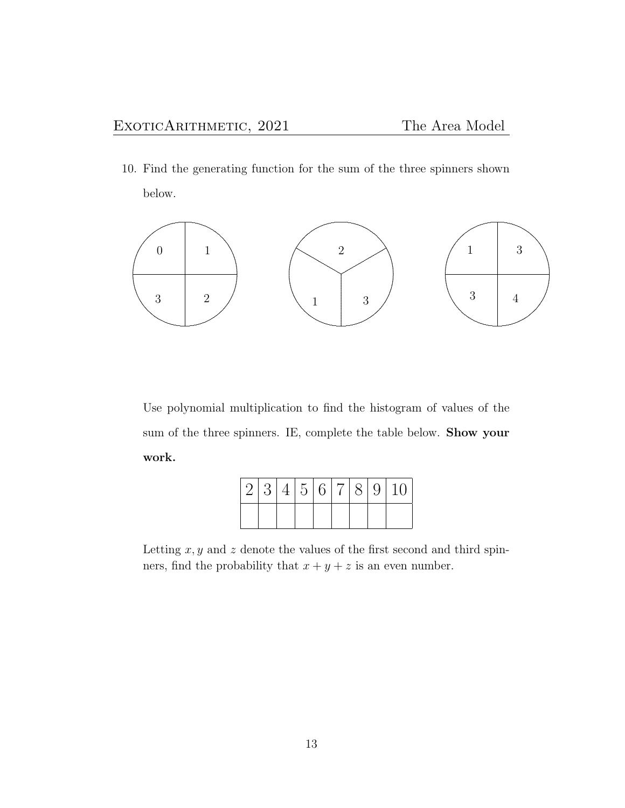10. Find the generating function for the sum of the three spinners shown below.



Use polynomial multiplication to find the histogram of values of the sum of the three spinners. IE, complete the table below. Show your work.

|  |  |  |  | 2 3 4 5 6 7 8 9 10 |
|--|--|--|--|--------------------|
|  |  |  |  |                    |

Letting  $x, y$  and z denote the values of the first second and third spinners, find the probability that  $x + y + z$  is an even number.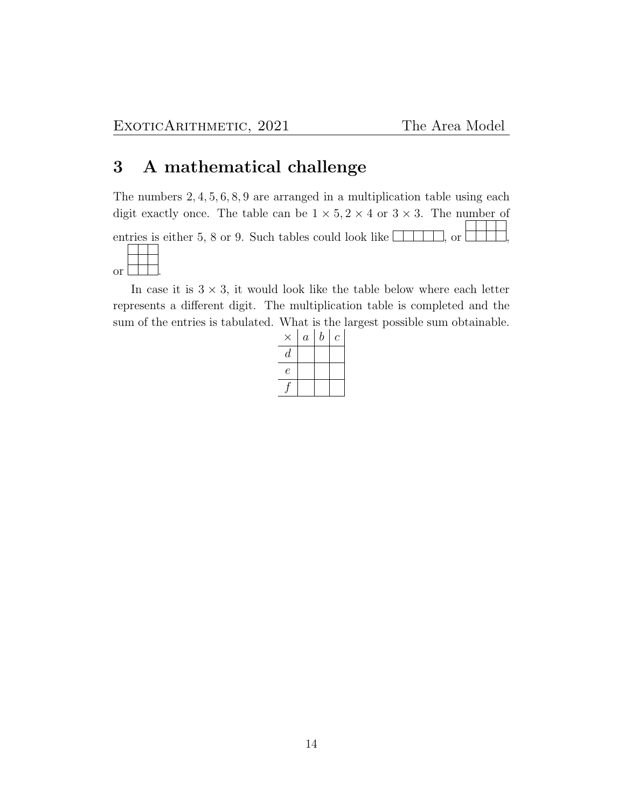# 3 A mathematical challenge

The numbers 2, 4, 5, 6, 8, 9 are arranged in a multiplication table using each digit exactly once. The table can be  $1 \times 5$ ,  $2 \times 4$  or  $3 \times 3$ . The number of entries is either 5, 8 or 9. Such tables could look like  $\Box$ , or  $\Box$ or .

In case it is  $3 \times 3$ , it would look like the table below where each letter represents a different digit. The multiplication table is completed and the sum of the entries is tabulated. What is the largest possible sum obtainable.

|                  | $\it a$ | $\boldsymbol{b}$ | $\,c\,$ |
|------------------|---------|------------------|---------|
| $\boldsymbol{d}$ |         |                  |         |
| е                |         |                  |         |
|                  |         |                  |         |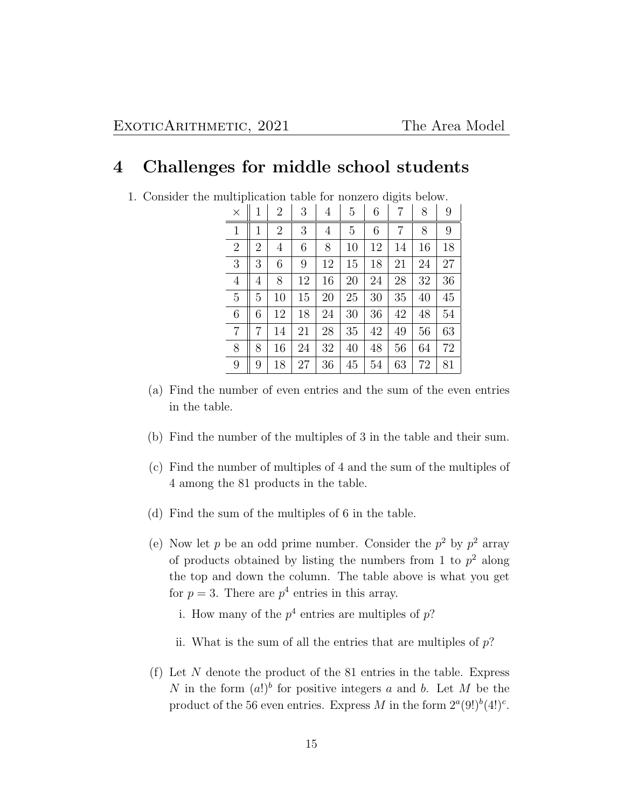# 4 Challenges for middle school students

|  | 1. Consider the multiplication table for nonzero digits below |  |  |  |
|--|---------------------------------------------------------------|--|--|--|
|  |                                                               |  |  |  |

| $\times$       | 1              | $\overline{2}$ | 3  | 4  | 5  | 6  | 7  | 8  | 9  |
|----------------|----------------|----------------|----|----|----|----|----|----|----|
| $\mathbf{1}$   | 1              | $\overline{2}$ | 3  | 4  | 5  | 6  | 7  | 8  | 9  |
| $\overline{2}$ | $\overline{2}$ | $\overline{4}$ | 6  | 8  | 10 | 12 | 14 | 16 | 18 |
| 3              | 3              | 6              | 9  | 12 | 15 | 18 | 21 | 24 | 27 |
| $\overline{4}$ | 4              | 8              | 12 | 16 | 20 | 24 | 28 | 32 | 36 |
| $\overline{5}$ | 5              | 10             | 15 | 20 | 25 | 30 | 35 | 40 | 45 |
| 6              | 6              | 12             | 18 | 24 | 30 | 36 | 42 | 48 | 54 |
| $\overline{7}$ | 7              | 14             | 21 | 28 | 35 | 42 | 49 | 56 | 63 |
| 8              | 8              | 16             | 24 | 32 | 40 | 48 | 56 | 64 | 72 |
| 9              | 9              | 18             | 27 | 36 | 45 | 54 | 63 | 72 | 81 |

- (a) Find the number of even entries and the sum of the even entries in the table.
- (b) Find the number of the multiples of 3 in the table and their sum.
- (c) Find the number of multiples of 4 and the sum of the multiples of 4 among the 81 products in the table.
- (d) Find the sum of the multiples of 6 in the table.
- (e) Now let p be an odd prime number. Consider the  $p^2$  by  $p^2$  array of products obtained by listing the numbers from 1 to  $p^2$  along the top and down the column. The table above is what you get for  $p = 3$ . There are  $p<sup>4</sup>$  entries in this array.
	- i. How many of the  $p^4$  entries are multiples of p?
	- ii. What is the sum of all the entries that are multiples of  $p$ ?
- (f) Let  $N$  denote the product of the 81 entries in the table. Express N in the form  $(a!)^b$  for positive integers a and b. Let M be the product of the 56 even entries. Express M in the form  $2^a(9!)^b(4!)^c$ .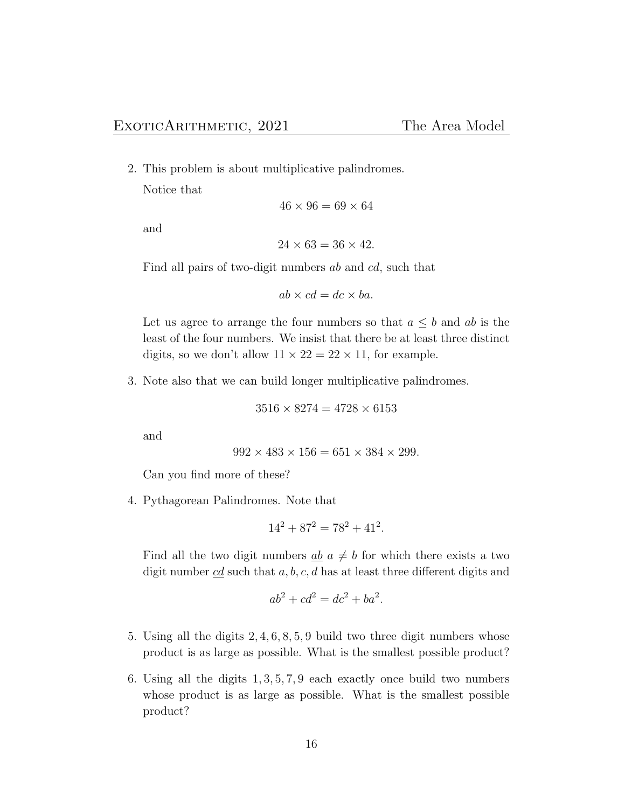2. This problem is about multiplicative palindromes.

Notice that

$$
46 \times 96 = 69 \times 64
$$

and

$$
24 \times 63 = 36 \times 42.
$$

Find all pairs of two-digit numbers ab and cd, such that

 $ab \times cd = dc \times ba$ .

Let us agree to arrange the four numbers so that  $a \leq b$  and ab is the least of the four numbers. We insist that there be at least three distinct digits, so we don't allow  $11 \times 22 = 22 \times 11$ , for example.

3. Note also that we can build longer multiplicative palindromes.

$$
3516 \times 8274 = 4728 \times 6153
$$

and

 $992 \times 483 \times 156 = 651 \times 384 \times 299.$ 

Can you find more of these?

4. Pythagorean Palindromes. Note that

$$
14^2 + 87^2 = 78^2 + 41^2.
$$

Find all the two digit numbers  $\underline{ab}$   $\underline{a} \neq \underline{b}$  for which there exists a two digit number  $\underline{c}\underline{d}$  such that  $a, b, c, d$  has at least three different digits and

$$
ab^2 + cd^2 = dc^2 + ba^2.
$$

- 5. Using all the digits 2, 4, 6, 8, 5, 9 build two three digit numbers whose product is as large as possible. What is the smallest possible product?
- 6. Using all the digits 1, 3, 5, 7, 9 each exactly once build two numbers whose product is as large as possible. What is the smallest possible product?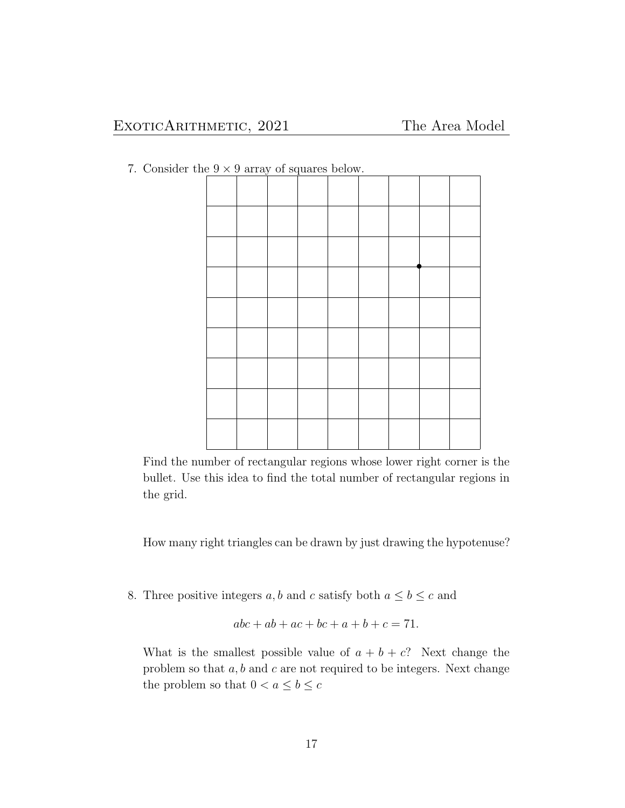7. Consider the  $9 \times 9$  array of squares below.

Find the number of rectangular regions whose lower right corner is the bullet. Use this idea to find the total number of rectangular regions in the grid.

How many right triangles can be drawn by just drawing the hypotenuse?

8. Three positive integers  $a, b$  and  $c$  satisfy both  $a \leq b \leq c$  and

$$
abc + ab + ac + bc + a + b + c = 71.
$$

What is the smallest possible value of  $a + b + c$ ? Next change the problem so that  $a, b$  and  $c$  are not required to be integers. Next change the problem so that  $0 < a \leq b \leq c$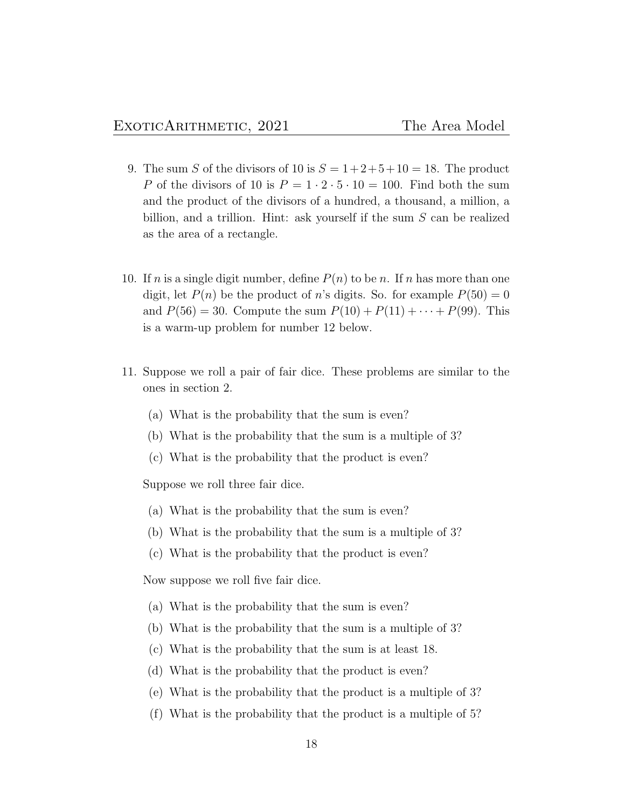- 9. The sum S of the divisors of 10 is  $S = 1+2+5+10 = 18$ . The product P of the divisors of 10 is  $P = 1 \cdot 2 \cdot 5 \cdot 10 = 100$ . Find both the sum and the product of the divisors of a hundred, a thousand, a million, a billion, and a trillion. Hint: ask yourself if the sum S can be realized as the area of a rectangle.
- 10. If n is a single digit number, define  $P(n)$  to be n. If n has more than one digit, let  $P(n)$  be the product of n's digits. So. for example  $P(50) = 0$ and  $P(56) = 30$ . Compute the sum  $P(10) + P(11) + \cdots + P(99)$ . This is a warm-up problem for number 12 below.
- 11. Suppose we roll a pair of fair dice. These problems are similar to the ones in section 2.
	- (a) What is the probability that the sum is even?
	- (b) What is the probability that the sum is a multiple of 3?
	- (c) What is the probability that the product is even?

Suppose we roll three fair dice.

- (a) What is the probability that the sum is even?
- (b) What is the probability that the sum is a multiple of 3?
- (c) What is the probability that the product is even?

Now suppose we roll five fair dice.

- (a) What is the probability that the sum is even?
- (b) What is the probability that the sum is a multiple of 3?
- (c) What is the probability that the sum is at least 18.
- (d) What is the probability that the product is even?
- (e) What is the probability that the product is a multiple of 3?
- (f) What is the probability that the product is a multiple of 5?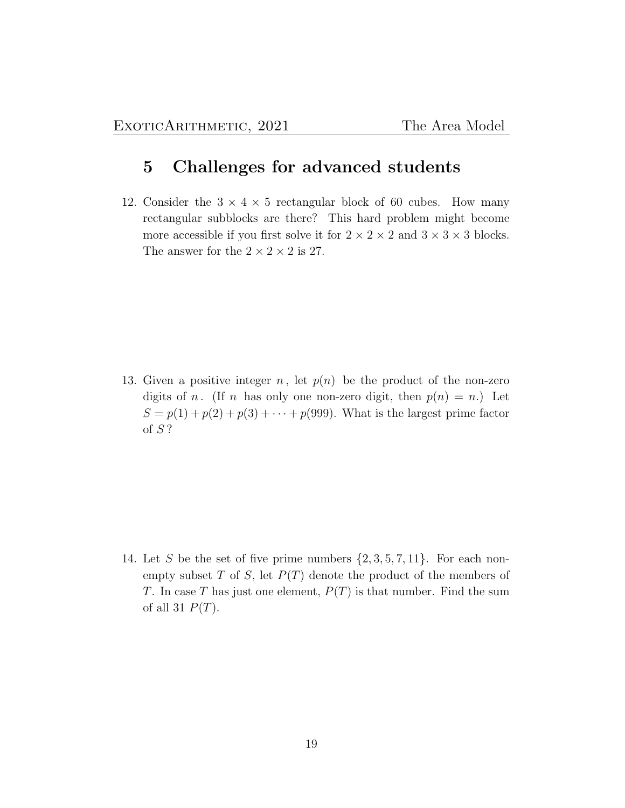# 5 Challenges for advanced students

12. Consider the  $3 \times 4 \times 5$  rectangular block of 60 cubes. How many rectangular subblocks are there? This hard problem might become more accessible if you first solve it for  $2 \times 2 \times 2$  and  $3 \times 3 \times 3$  blocks. The answer for the  $2 \times 2 \times 2$  is 27.

13. Given a positive integer n, let  $p(n)$  be the product of the non-zero digits of n. (If n has only one non-zero digit, then  $p(n) = n$ .) Let  $S = p(1) + p(2) + p(3) + \cdots + p(999)$ . What is the largest prime factor of S ?

14. Let S be the set of five prime numbers  $\{2,3,5,7,11\}$ . For each nonempty subset  $T$  of  $S$ , let  $P(T)$  denote the product of the members of T. In case T has just one element,  $P(T)$  is that number. Find the sum of all 31  $P(T)$ .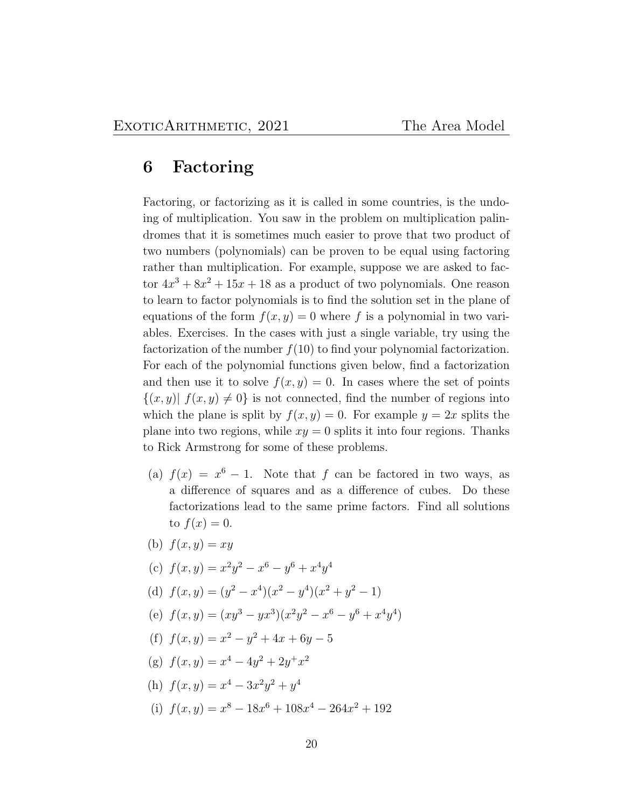# 6 Factoring

Factoring, or factorizing as it is called in some countries, is the undoing of multiplication. You saw in the problem on multiplication palindromes that it is sometimes much easier to prove that two product of two numbers (polynomials) can be proven to be equal using factoring rather than multiplication. For example, suppose we are asked to factor  $4x^3 + 8x^2 + 15x + 18$  as a product of two polynomials. One reason to learn to factor polynomials is to find the solution set in the plane of equations of the form  $f(x, y) = 0$  where f is a polynomial in two variables. Exercises. In the cases with just a single variable, try using the factorization of the number  $f(10)$  to find your polynomial factorization. For each of the polynomial functions given below, find a factorization and then use it to solve  $f(x, y) = 0$ . In cases where the set of points  $\{(x, y) | f(x, y) \neq 0\}$  is not connected, find the number of regions into which the plane is split by  $f(x, y) = 0$ . For example  $y = 2x$  splits the plane into two regions, while  $xy = 0$  splits it into four regions. Thanks to Rick Armstrong for some of these problems.

- (a)  $f(x) = x^6 1$ . Note that f can be factored in two ways, as a difference of squares and as a difference of cubes. Do these factorizations lead to the same prime factors. Find all solutions to  $f(x)=0$ .
- (b)  $f(x, y) = xy$
- (c)  $f(x,y) = x^2y^2 x^6 y^6 + x^4y^4$
- (d)  $f(x,y) = (y^2 x^4)(x^2 y^4)(x^2 + y^2 1)$
- (e)  $f(x,y) = (xy^3 yx^3)(x^2y^2 x^6 y^6 + x^4y^4)$
- (f)  $f(x,y) = x^2 y^2 + 4x + 6y 5$
- (g)  $f(x, y) = x^4 4y^2 + 2y^2 + x^2$
- (h)  $f(x, y) = x^4 3x^2y^2 + y^4$
- (i)  $f(x,y) = x^8 18x^6 + 108x^4 264x^2 + 192$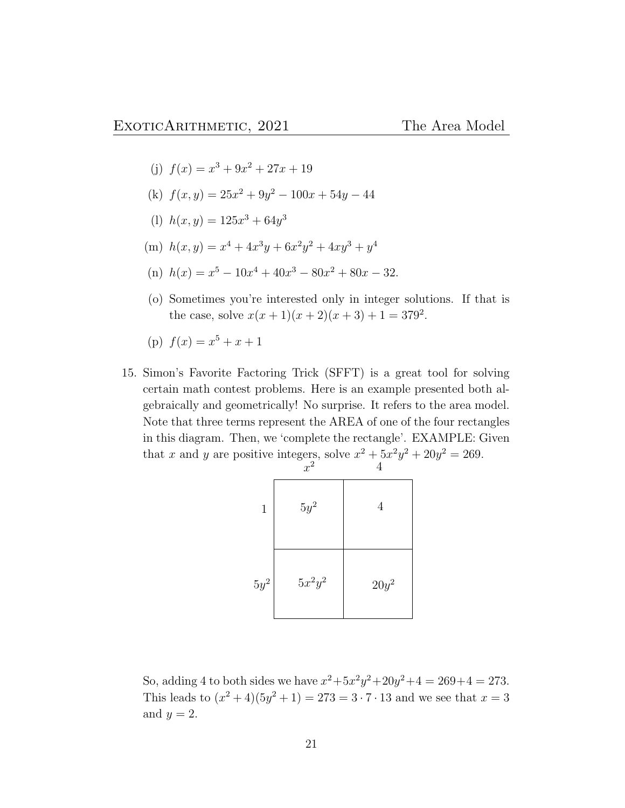- (j)  $f(x) = x^3 + 9x^2 + 27x + 19$
- (k)  $f(x,y) = 25x^2 + 9y^2 100x + 54y 44$
- (1)  $h(x, y) = 125x^3 + 64y^3$
- (m)  $h(x, y) = x^4 + 4x^3y + 6x^2y^2 + 4xy^3 + y^4$
- (n)  $h(x) = x^5 10x^4 + 40x^3 80x^2 + 80x 32$ .
- (o) Sometimes you're interested only in integer solutions. If that is the case, solve  $x(x + 1)(x + 2)(x + 3) + 1 = 379^2$ .
- (p)  $f(x) = x^5 + x + 1$
- 15. Simon's Favorite Factoring Trick (SFFT) is a great tool for solving certain math contest problems. Here is an example presented both algebraically and geometrically! No surprise. It refers to the area model. Note that three terms represent the AREA of one of the four rectangles in this diagram. Then, we 'complete the rectangle'. EXAMPLE: Given that x and y are positive integers, solve  $x^2 + 5x^2y^2 + 20y^2 = 269$ .

|              | $x^2$     | $\overline{4}$ |
|--------------|-----------|----------------|
| $\mathbf{1}$ | $5y^2$    | $\overline{4}$ |
| $5y^2$       | $5x^2y^2$ | $20y^2$        |

So, adding 4 to both sides we have  $x^2 + 5x^2y^2 + 20y^2 + 4 = 269 + 4 = 273$ . This leads to  $(x^2+4)(5y^2+1) = 273 = 3 \cdot 7 \cdot 13$  and we see that  $x = 3$ and  $y = 2$ .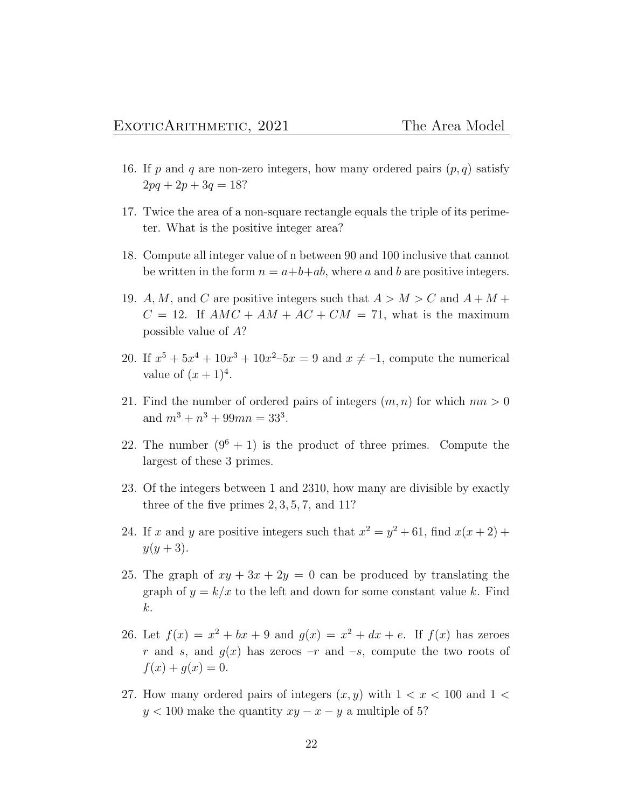- 16. If p and q are non-zero integers, how many ordered pairs  $(p, q)$  satisfy  $2pq + 2p + 3q = 18?$
- 17. Twice the area of a non-square rectangle equals the triple of its perimeter. What is the positive integer area?
- 18. Compute all integer value of n between 90 and 100 inclusive that cannot be written in the form  $n = a+b+ab$ , where a and b are positive integers.
- 19. A, M, and C are positive integers such that  $A > M > C$  and  $A + M +$  $C = 12$ . If  $AMC + AM + AC + CM = 71$ , what is the maximum possible value of A?
- 20. If  $x^5 + 5x^4 + 10x^3 + 10x^2 5x = 9$  and  $x \neq -1$ , compute the numerical value of  $(x+1)^4$ .
- 21. Find the number of ordered pairs of integers  $(m, n)$  for which  $mn > 0$ and  $m^3 + n^3 + 99mn = 33^3$ .
- 22. The number  $(9^6 + 1)$  is the product of three primes. Compute the largest of these 3 primes.
- 23. Of the integers between 1 and 2310, how many are divisible by exactly three of the five primes 2, 3, 5, 7, and 11?
- 24. If x and y are positive integers such that  $x^2 = y^2 + 61$ , find  $x(x+2)$  +  $y(y + 3)$ .
- 25. The graph of  $xy + 3x + 2y = 0$  can be produced by translating the graph of  $y = k/x$  to the left and down for some constant value k. Find k.
- 26. Let  $f(x) = x^2 + bx + 9$  and  $g(x) = x^2 + dx + e$ . If  $f(x)$  has zeroes r and s, and  $g(x)$  has zeroes  $-r$  and  $-s$ , compute the two roots of  $f(x) + g(x) = 0.$
- 27. How many ordered pairs of integers  $(x, y)$  with  $1 < x < 100$  and  $1 <$  $y < 100$  make the quantity  $xy - x - y$  a multiple of 5?